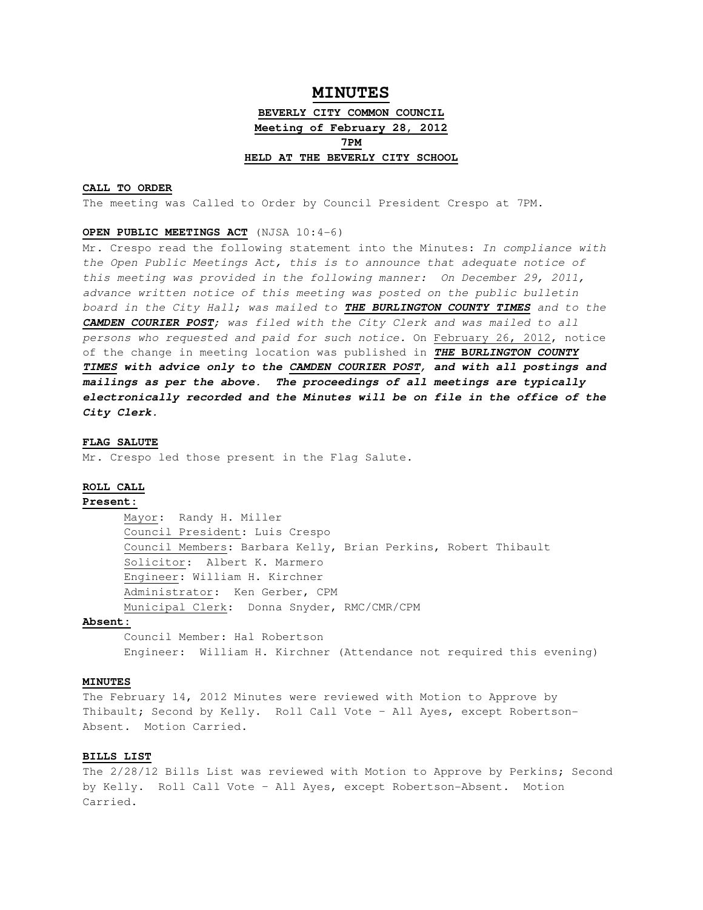# **MINUTES BEVERLY CITY COMMON COUNCIL Meeting of February 28, 2012 7PM HELD AT THE BEVERLY CITY SCHOOL**

# **CALL TO ORDER**

The meeting was Called to Order by Council President Crespo at 7PM.

# **OPEN PUBLIC MEETINGS ACT** (NJSA 10:4-6)

Mr. Crespo read the following statement into the Minutes: In compliance with the Open Public Meetings Act, this is to announce that adequate notice of this meeting was provided in the following manner: On December 29, 2011, advance written notice of this meeting was posted on the public bulletin board in the City Hall; was mailed to **THE BURLINGTON COUNTY TIMES** and to the **CAMDEN COURIER POST**; was filed with the City Clerk and was mailed to all persons who requested and paid for such notice. On February 26, 2012, notice of the change in meeting location was published in **THE BURLINGTON COUNTY TIMES with advice only to the CAMDEN COURIER POST, and with all postings and mailings as per the above. The proceedings of all meetings are typically electronically recorded and the Minutes will be on file in the office of the City Clerk.** 

#### **FLAG SALUTE**

Mr. Crespo led those present in the Flag Salute.

### **ROLL CALL**

#### **Present:**

Mayor: Randy H. Miller Council President: Luis Crespo Council Members: Barbara Kelly, Brian Perkins, Robert Thibault Solicitor: Albert K. Marmero Engineer: William H. Kirchner Administrator: Ken Gerber, CPM Municipal Clerk: Donna Snyder, RMC/CMR/CPM

### **Absent:**

 Council Member: Hal Robertson Engineer: William H. Kirchner (Attendance not required this evening)

### **MINUTES**

The February 14, 2012 Minutes were reviewed with Motion to Approve by Thibault; Second by Kelly. Roll Call Vote – All Ayes, except Robertson-Absent. Motion Carried.

### **BILLS LIST**

The 2/28/12 Bills List was reviewed with Motion to Approve by Perkins; Second by Kelly. Roll Call Vote – All Ayes, except Robertson-Absent. Motion Carried.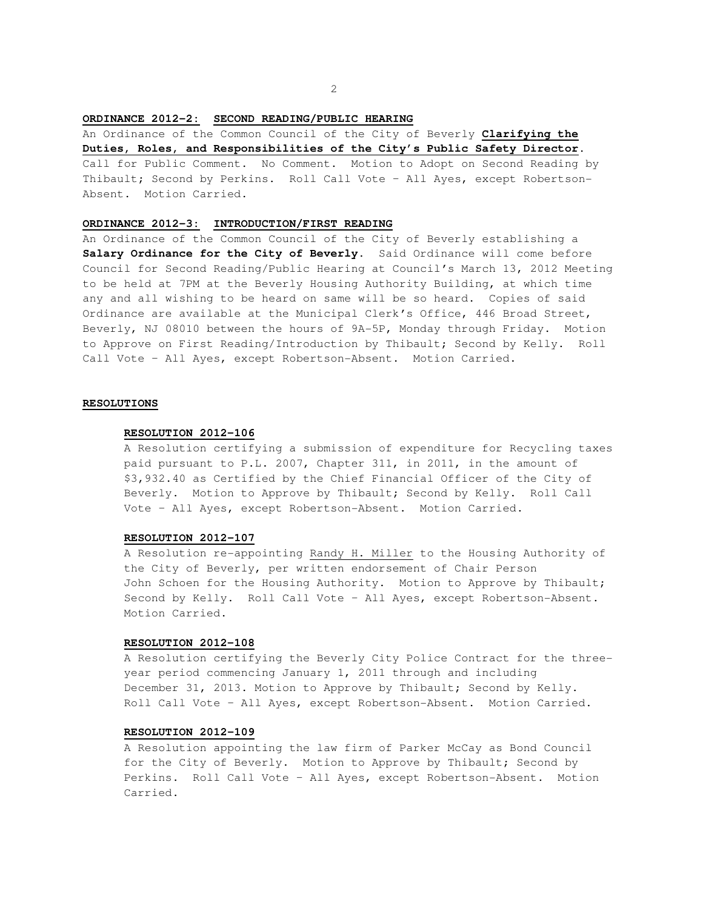### **ORDINANCE 2012-2: SECOND READING/PUBLIC HEARING**

An Ordinance of the Common Council of the City of Beverly **Clarifying the Duties, Roles, and Responsibilities of the City's Public Safety Director**.

Call for Public Comment. No Comment. Motion to Adopt on Second Reading by Thibault; Second by Perkins. Roll Call Vote – All Ayes, except Robertson-Absent. Motion Carried.

### **ORDINANCE 2012-3: INTRODUCTION/FIRST READING**

An Ordinance of the Common Council of the City of Beverly establishing a **Salary Ordinance for the City of Beverly**. Said Ordinance will come before Council for Second Reading/Public Hearing at Council's March 13, 2012 Meeting to be held at 7PM at the Beverly Housing Authority Building, at which time any and all wishing to be heard on same will be so heard. Copies of said Ordinance are available at the Municipal Clerk's Office, 446 Broad Street, Beverly, NJ 08010 between the hours of 9A-5P, Monday through Friday. Motion to Approve on First Reading/Introduction by Thibault; Second by Kelly. Roll Call Vote – All Ayes, except Robertson-Absent. Motion Carried.

#### **RESOLUTIONS**

#### **RESOLUTION 2012-106**

A Resolution certifying a submission of expenditure for Recycling taxes paid pursuant to P.L. 2007, Chapter 311, in 2011, in the amount of \$3,932.40 as Certified by the Chief Financial Officer of the City of Beverly. Motion to Approve by Thibault; Second by Kelly. Roll Call Vote – All Ayes, except Robertson-Absent. Motion Carried.

### **RESOLUTION 2012-107**

A Resolution re-appointing Randy H. Miller to the Housing Authority of the City of Beverly, per written endorsement of Chair Person John Schoen for the Housing Authority. Motion to Approve by Thibault; Second by Kelly. Roll Call Vote – All Ayes, except Robertson-Absent. Motion Carried.

#### **RESOLUTION 2012-108**

A Resolution certifying the Beverly City Police Contract for the threeyear period commencing January 1, 2011 through and including December 31, 2013. Motion to Approve by Thibault; Second by Kelly. Roll Call Vote – All Ayes, except Robertson-Absent. Motion Carried.

# **RESOLUTION 2012-109**

A Resolution appointing the law firm of Parker McCay as Bond Council for the City of Beverly. Motion to Approve by Thibault; Second by Perkins. Roll Call Vote – All Ayes, except Robertson-Absent. Motion Carried.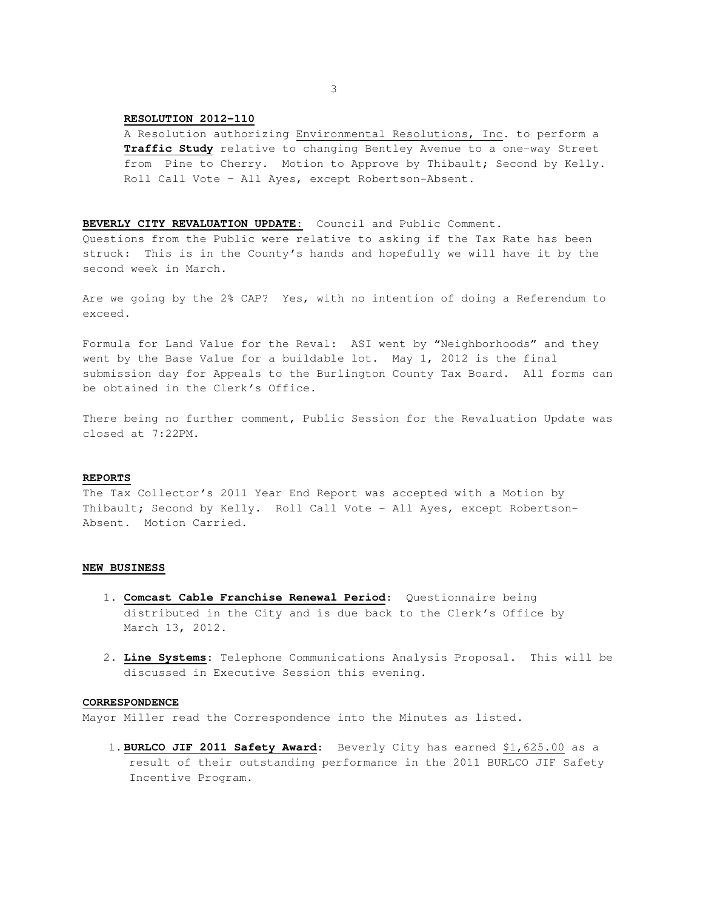### **RESOLUTION 2012-110**

 A Resolution authorizing Environmental Resolutions, Inc. to perform a **Traffic Study** relative to changing Bentley Avenue to a one-way Street from Pine to Cherry. Motion to Approve by Thibault; Second by Kelly. Roll Call Vote – All Ayes, except Robertson-Absent.

#### **BEVERLY CITY REVALUATION UPDATE:** Council and Public Comment.

Questions from the Public were relative to asking if the Tax Rate has been struck: This is in the County's hands and hopefully we will have it by the second week in March.

Are we going by the 2% CAP? Yes, with no intention of doing a Referendum to exceed.

Formula for Land Value for the Reval: ASI went by "Neighborhoods" and they went by the Base Value for a buildable lot. May 1, 2012 is the final submission day for Appeals to the Burlington County Tax Board. All forms can be obtained in the Clerk's Office.

There being no further comment, Public Session for the Revaluation Update was closed at 7:22PM.

#### **REPORTS**

The Tax Collector's 2011 Year End Report was accepted with a Motion by Thibault; Second by Kelly. Roll Call Vote - All Ayes, except Robertson-Absent. Motion Carried.

#### **NEW BUSINESS**

- 1. **Comcast Cable Franchise Renewal Period**: Questionnaire being distributed in the City and is due back to the Clerk's Office by March 13, 2012.
- 2. **Line Systems**: Telephone Communications Analysis Proposal. This will be discussed in Executive Session this evening.

# **CORRESPONDENCE**

Mayor Miller read the Correspondence into the Minutes as listed.

1.**BURLCO JIF 2011 Safety Award**: Beverly City has earned \$1,625.00 as a result of their outstanding performance in the 2011 BURLCO JIF Safety Incentive Program.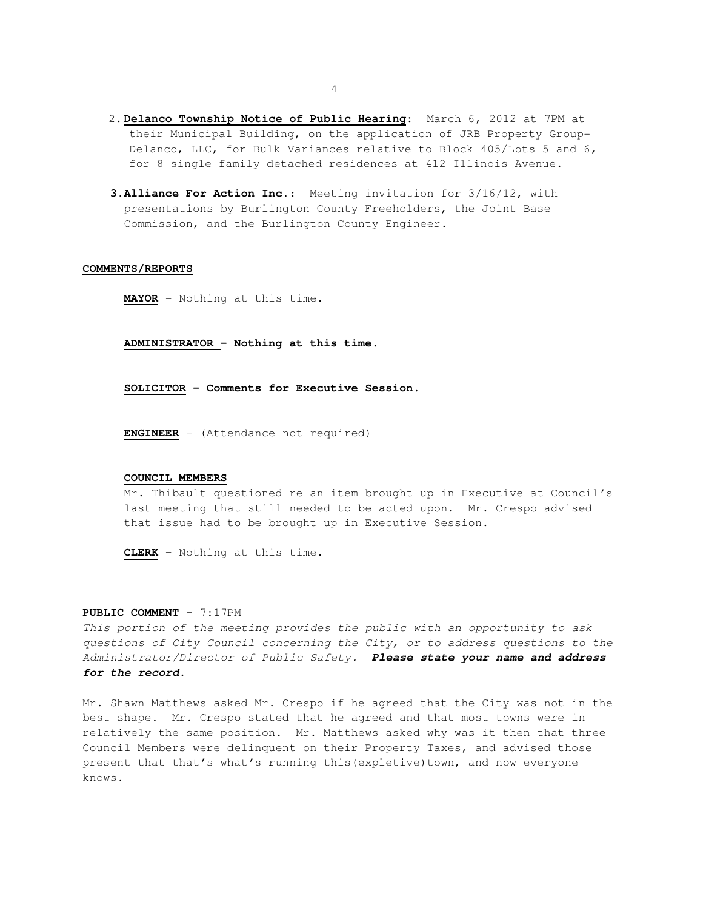- 2.**Delanco Township Notice of Public Hearing**: March 6, 2012 at 7PM at their Municipal Building, on the application of JRB Property Group-Delanco, LLC, for Bulk Variances relative to Block 405/Lots 5 and 6, for 8 single family detached residences at 412 Illinois Avenue.
- **3.Alliance For Action Inc.**: Meeting invitation for 3/16/12, with presentations by Burlington County Freeholders, the Joint Base Commission, and the Burlington County Engineer.

#### **COMMENTS/REPORTS**

**MAYOR** - Nothing at this time.

**ADMINISTRATOR – Nothing at this time.** 

**SOLICITOR – Comments for Executive Session.** 

**ENGINEER** – (Attendance not required)

#### **COUNCIL MEMBERS**

Mr. Thibault questioned re an item brought up in Executive at Council's last meeting that still needed to be acted upon. Mr. Crespo advised that issue had to be brought up in Executive Session.

**CLERK** – Nothing at this time.

#### **PUBLIC COMMENT** – 7:17PM

This portion of the meeting provides the public with an opportunity to ask questions of City Council concerning the City, or to address questions to the Administrator/Director of Public Safety. **Please state your name and address for the record.** 

Mr. Shawn Matthews asked Mr. Crespo if he agreed that the City was not in the best shape. Mr. Crespo stated that he agreed and that most towns were in relatively the same position. Mr. Matthews asked why was it then that three Council Members were delinquent on their Property Taxes, and advised those present that that's what's running this(expletive)town, and now everyone knows.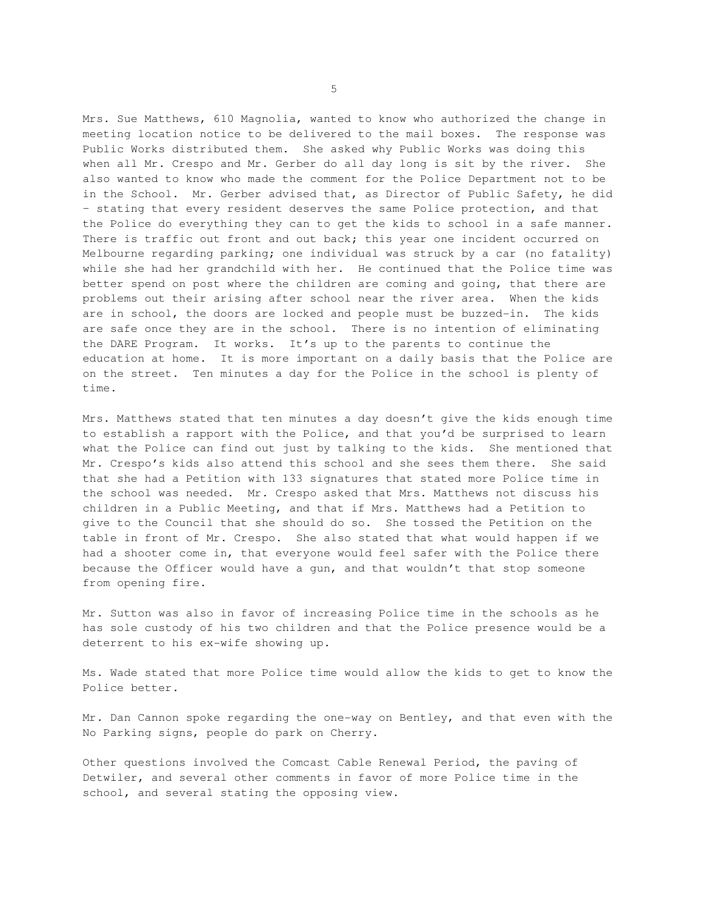Mrs. Sue Matthews, 610 Magnolia, wanted to know who authorized the change in meeting location notice to be delivered to the mail boxes. The response was Public Works distributed them. She asked why Public Works was doing this when all Mr. Crespo and Mr. Gerber do all day long is sit by the river. She also wanted to know who made the comment for the Police Department not to be in the School. Mr. Gerber advised that, as Director of Public Safety, he did – stating that every resident deserves the same Police protection, and that the Police do everything they can to get the kids to school in a safe manner. There is traffic out front and out back; this year one incident occurred on Melbourne regarding parking; one individual was struck by a car (no fatality) while she had her grandchild with her. He continued that the Police time was better spend on post where the children are coming and going, that there are problems out their arising after school near the river area. When the kids are in school, the doors are locked and people must be buzzed-in. The kids are safe once they are in the school. There is no intention of eliminating the DARE Program. It works. It's up to the parents to continue the education at home. It is more important on a daily basis that the Police are on the street. Ten minutes a day for the Police in the school is plenty of time.

Mrs. Matthews stated that ten minutes a day doesn't give the kids enough time to establish a rapport with the Police, and that you'd be surprised to learn what the Police can find out just by talking to the kids. She mentioned that Mr. Crespo's kids also attend this school and she sees them there. She said that she had a Petition with 133 signatures that stated more Police time in the school was needed. Mr. Crespo asked that Mrs. Matthews not discuss his children in a Public Meeting, and that if Mrs. Matthews had a Petition to give to the Council that she should do so. She tossed the Petition on the table in front of Mr. Crespo. She also stated that what would happen if we had a shooter come in, that everyone would feel safer with the Police there because the Officer would have a gun, and that wouldn't that stop someone from opening fire.

Mr. Sutton was also in favor of increasing Police time in the schools as he has sole custody of his two children and that the Police presence would be a deterrent to his ex-wife showing up.

Ms. Wade stated that more Police time would allow the kids to get to know the Police better.

Mr. Dan Cannon spoke regarding the one-way on Bentley, and that even with the No Parking signs, people do park on Cherry.

Other questions involved the Comcast Cable Renewal Period, the paving of Detwiler, and several other comments in favor of more Police time in the school, and several stating the opposing view.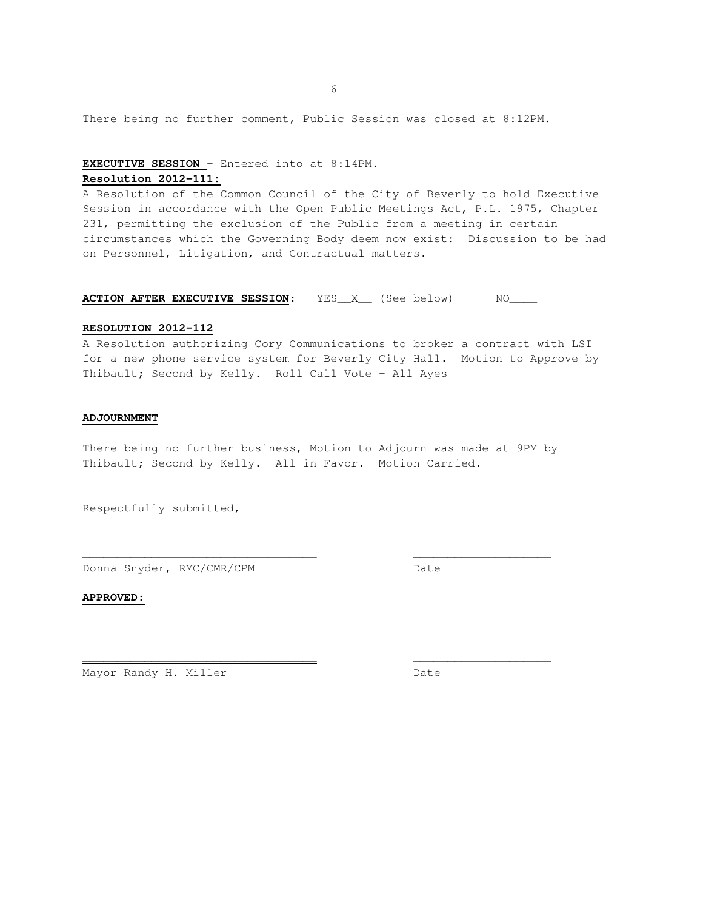$6<sup>1</sup>$ 

There being no further comment, Public Session was closed at 8:12PM.

# **EXECUTIVE SESSION** – Entered into at 8:14PM. **Resolution 2012-111:**

A Resolution of the Common Council of the City of Beverly to hold Executive Session in accordance with the Open Public Meetings Act, P.L. 1975, Chapter 231, permitting the exclusion of the Public from a meeting in certain circumstances which the Governing Body deem now exist: Discussion to be had on Personnel, Litigation, and Contractual matters.

### **ACTION AFTER EXECUTIVE SESSION:** YES\_X\_ (See below) NO\_\_\_\_

#### **RESOLUTION 2012-112**

A Resolution authorizing Cory Communications to broker a contract with LSI for a new phone service system for Beverly City Hall. Motion to Approve by Thibault; Second by Kelly. Roll Call Vote – All Ayes

### **ADJOURNMENT**

There being no further business, Motion to Adjourn was made at 9PM by Thibault; Second by Kelly. All in Favor. Motion Carried.

\_\_\_\_\_\_\_\_\_\_\_\_\_\_\_\_\_\_\_\_\_\_\_\_\_\_\_\_\_\_\_\_\_\_ \_\_\_\_\_\_\_\_\_\_\_\_\_\_\_\_\_\_\_\_

**\_\_\_\_\_\_\_\_\_\_\_\_\_\_\_\_\_\_\_\_\_\_\_\_\_\_\_\_\_\_\_\_\_\_** \_\_\_\_\_\_\_\_\_\_\_\_\_\_\_\_\_\_\_\_

Respectfully submitted,

Donna Snyder, RMC/CMR/CPM Date

**APPROVED:**

Mayor Randy H. Miller Date